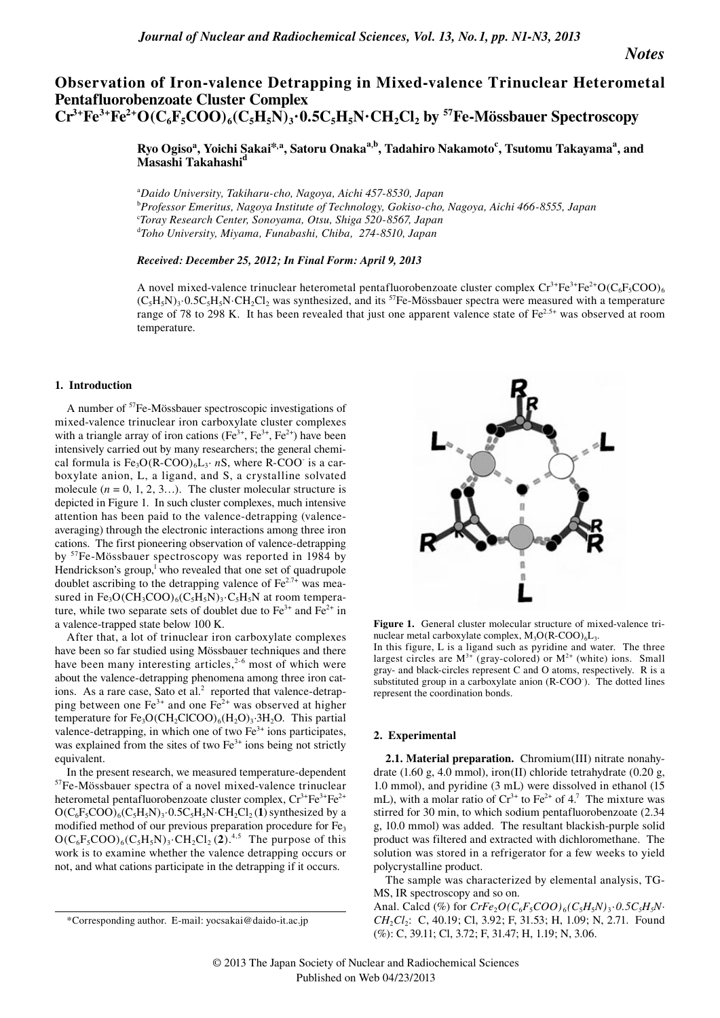*Notes*

# **Observation of Iron-valence Detrapping in Mixed-valence Trinuclear Heterometal Pentafluorobenzoate Cluster Complex**   $Cr^{3+}Fe^{3+}Fe^{2+}O(C_6F_5COO)_6(C_5H_5N)_3.0.5C_5H_5N \cdot CH_2Cl_2$  by <sup>57</sup>Fe-Mössbauer Spectroscopy

 $R$ yo Ogiso<sup>a</sup>, Yoichi Sakai\*,<sup>a</sup>, Satoru Onaka<sup>a,b</sup>, Tadahiro Nakamoto<sup>c</sup>, Tsutomu Takayama<sup>a</sup>, and **Masashi Takahashi** 

a *Daido University, Takiharu-cho, Nagoya, Aichi 457-8530, Japan* b *Professor Emeritus, Nagoya Institute of Technology, Gokiso-cho, Nagoya, Aichi 466-8555, Japan* c *Toray Research Center, Sonoyama, Otsu, Shiga 520-8567, Japan* d *Toho University, Miyama, Funabashi, Chiba, 274-8510, Japan*

*Received: December 25, 2012; In Final Form: April 9, 2013*

A novel mixed-valence trinuclear heterometal pentafluorobenzoate cluster complex  $Cr^{3+}Fe^{3+}Fe^{2+}O(C_6F_5COO)_6$  $(C_5H_5N)_3.0.5C_5H_5N \cdot CH_2Cl_2$  was synthesized, and its <sup>57</sup>Fe-Mössbauer spectra were measured with a temperature range of 78 to 298 K. It has been revealed that just one apparent valence state of Fe<sup>2.5+</sup> was observed at room temperature.

## **1. Introduction**

A number of 57Fe-Mössbauer spectroscopic investigations of mixed-valence trinuclear iron carboxylate cluster complexes with a triangle array of iron cations ( $Fe<sup>3+</sup>, Fe<sup>3+</sup>, Fe<sup>2+</sup>)$  have been intensively carried out by many researchers; the general chemical formula is  $Fe<sub>3</sub>O(R-COO)<sub>6</sub>L<sub>3</sub>·nS$ , where R-COO<sup>-</sup> is a carboxylate anion, L, a ligand, and S, a crystalline solvated molecule  $(n = 0, 1, 2, 3...)$ . The cluster molecular structure is depicted in Figure 1. In such cluster complexes, much intensive attention has been paid to the valence-detrapping (valenceaveraging) through the electronic interactions among three iron cations. The first pioneering observation of valence-detrapping by 57Fe-Mössbauer spectroscopy was reported in 1984 by Hendrickson's group, $\frac{1}{2}$  who revealed that one set of quadrupole doublet ascribing to the detrapping valence of  $Fe^{2.7+}$  was measured in  $Fe_3O(CH_3COO)_6(C_5H_5N)_3 \cdot C_5H_5N$  at room temperature, while two separate sets of doublet due to  $Fe^{3+}$  and  $Fe^{2+}$  in a valence-trapped state below 100 K.

After that, a lot of trinuclear iron carboxylate complexes have been so far studied using Mössbauer techniques and there have been many interesting articles,<sup>2-6</sup> most of which were about the valence-detrapping phenomena among three iron cations. As a rare case, Sato et al. $<sup>2</sup>$  reported that valence-detrap-</sup> ping between one  $Fe^{3+}$  and one  $Fe^{2+}$  was observed at higher temperature for  $Fe<sub>3</sub>O(CH<sub>2</sub>ClCOO)<sub>6</sub>(H<sub>2</sub>O)<sub>3</sub>·3H<sub>2</sub>O$ . This partial valence-detrapping, in which one of two  $Fe<sup>3+</sup>$  ions participates, was explained from the sites of two  $Fe<sup>3+</sup>$  ions being not strictly equivalent.

In the present research, we measured temperature-dependent <sup>57</sup>Fe-Mössbauer spectra of a novel mixed-valence trinuclear heterometal pentafluorobenzoate cluster complex,  $Cr^{3+}Fe^{3+}Fe^{2+}$  $O(C_6F_5COO)_6(C_5H_5N)_3.0.5C_5H_5N \cdot CH_2Cl_2(1)$  synthesized by a modified method of our previous preparation procedure for Fe<sub>3</sub>  $O(C_6F_5COO)_6(C_5H_5N)_3$ ·CH<sub>2</sub>Cl<sub>2</sub>(2).<sup>4,5</sup> The purpose of this work is to examine whether the valence detrapping occurs or not, and what cations participate in the detrapping if it occurs.



Figure 1. General cluster molecular structure of mixed-valence trinuclear metal carboxylate complex,  $M_3O(R-COO)_6L_3$ .

In this figure, L is a ligand such as pyridine and water. The three largest circles are  $M^{3+}$  (gray-colored) or  $M^{2+}$  (white) ions. Small gray- and black-circles represent C and O atoms, respectively. R is a substituted group in a carboxylate anion (R-COO<sup>-</sup>). The dotted lines represent the coordination bonds.

# **2. Experimental**

**2.1. Material preparation.** Chromium(III) nitrate nonahydrate (1.60 g, 4.0 mmol), iron(II) chloride tetrahydrate (0.20 g, 1.0 mmol), and pyridine (3 mL) were dissolved in ethanol (15 mL), with a molar ratio of  $Cr^{3+}$  to  $Fe^{2+}$  of 4.<sup>7</sup> The mixture was stirred for 30 min, to which sodium pentafluorobenzoate (2.34 g, 10.0 mmol) was added. The resultant blackish-purple solid product was filtered and extracted with dichloromethane. The solution was stored in a refrigerator for a few weeks to yield polycrystalline product.

The sample was characterized by elemental analysis, TG-MS, IR spectroscopy and so on.

Anal. Calcd (%) for  $CrFe_2O(C_6F_5COO)_6(C_5H_5N)_3 \cdot 0.5C_5H_5N$ *CH*<sub>2</sub>*Cl*<sub>2</sub>: C, 40.19; Cl, 3.92; F, 31.53; H, 1.09; N, 2.71. Found (%): C, 39.11; Cl, 3.72; F, 31.47; H, 1.19; N, 3.06.

<sup>\*</sup>Corresponding author. E-mail: yocsakai@daido-it.ac.jp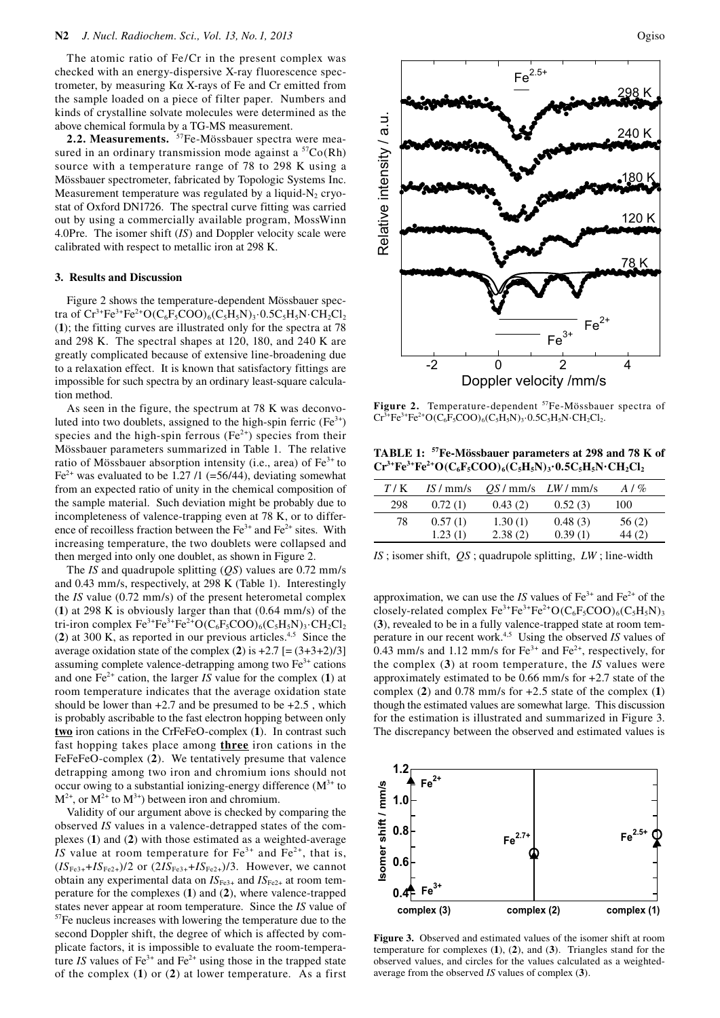The atomic ratio of Fe/Cr in the present complex was checked with an energy-dispersive X-ray fluorescence spectrometer, by measuring Kα X-rays of Fe and Cr emitted from the sample loaded on a piece of filter paper. Numbers and kinds of crystalline solvate molecules were determined as the above chemical formula by a TG-MS measurement.

**2.2. Measurements.** 57Fe-Mössbauer spectra were measured in an ordinary transmission mode against a  ${}^{57}Co(Rh)$ source with a temperature range of 78 to 298 K using a Mössbauer spectrometer, fabricated by Topologic Systems Inc. Measurement temperature was regulated by a liquid- $N<sub>2</sub>$  cryostat of Oxford DN1726. The spectral curve fitting was carried out by using a commercially available program, MossWinn 4.0Pre. The isomer shift (*IS*) and Doppler velocity scale were calibrated with respect to metallic iron at 298 K.

#### **3. Results and Discussion**

Figure 2 shows the temperature-dependent Mössbauer spectra of  $Cr^{3+}Fe^{3+}Fe^{2+}O(C_6F_5COO)_6(C_5H_5N)_3.0.5C_5H_5N \cdot CH_2Cl_2$ (**1**); the fitting curves are illustrated only for the spectra at 78 and 298 K. The spectral shapes at 120, 180, and 240 K are greatly complicated because of extensive line-broadening due to a relaxation effect. It is known that satisfactory fittings are impossible for such spectra by an ordinary least-square calculation method.

As seen in the figure, the spectrum at 78 K was deconvoluted into two doublets, assigned to the high-spin ferric  $(Fe<sup>3+</sup>)$ species and the high-spin ferrous  $(Fe^{2+})$  species from their Mössbauer parameters summarized in Table 1. The relative ratio of Mössbauer absorption intensity (i.e., area) of  $Fe<sup>3+</sup>$  to  $Fe<sup>2+</sup>$  was evaluated to be 1.27 /1 (=56/44), deviating somewhat from an expected ratio of unity in the chemical composition of the sample material. Such deviation might be probably due to incompleteness of valence-trapping even at 78 K, or to difference of recoilless fraction between the  $Fe^{3+}$  and  $Fe^{2+}$  sites. With increasing temperature, the two doublets were collapsed and then merged into only one doublet, as shown in Figure 2.

The *IS* and quadrupole splitting (*QS*) values are 0.72 mm/s and 0.43 mm/s, respectively, at 298 K (Table 1). Interestingly the *IS* value (0.72 mm/s) of the present heterometal complex (**1**) at 298 K is obviously larger than that (0.64 mm/s) of the tri-iron complex  $Fe^{3+}Fe^{3+}Fe^{2+}O(C_6F_5COO)_6(C_5H_5N)_3 \cdot CH_2Cl_2$ (**2**) at 300 K, as reported in our previous articles.4,5 Since the average oxidation state of the complex  $(2)$  is  $+2.7$  [=  $(3+3+2)/3$ ] assuming complete valence-detrapping among two  $Fe<sup>3+</sup>$  cations and one  $Fe^{2+}$  cation, the larger *IS* value for the complex (1) at room temperature indicates that the average oxidation state should be lower than  $+2.7$  and be presumed to be  $+2.5$ , which is probably ascribable to the fast electron hopping between only **two** iron cations in the CrFeFeO-complex (**1**). In contrast such fast hopping takes place among **three** iron cations in the FeFeFeO-complex (**2**). We tentatively presume that valence detrapping among two iron and chromium ions should not occur owing to a substantial ionizing-energy difference  $(M^{3+})$  to  $M^{2+}$ , or  $M^{2+}$  to  $M^{3+}$ ) between iron and chromium.

Validity of our argument above is checked by comparing the observed *IS* values in a valence-detrapped states of the complexes (**1**) and (**2**) with those estimated as a weighted-average *IS* value at room temperature for  $Fe^{3+}$  and  $Fe^{2+}$ , that is,  $(IS_{Fe3+} + IS_{Fe2+})/2$  or  $(2IS_{Fe3+} + IS_{Fe2+})/3$ . However, we cannot obtain any experimental data on  $IS_{Fe3+}$  and  $IS_{Fe2+}$  at room temperature for the complexes (**1**) and (**2**), where valence-trapped states never appear at room temperature. Since the *IS* value of <sup>57</sup>Fe nucleus increases with lowering the temperature due to the second Doppler shift, the degree of which is affected by complicate factors, it is impossible to evaluate the room-temperature *IS* values of  $Fe^{3+}$  and  $Fe^{2+}$  using those in the trapped state of the complex (**1**) or (**2**) at lower temperature. As a first



Figure 2. Temperature-dependent <sup>57</sup>Fe-Mössbauer spectra of  $Cr^{3+}Fe^{3+}Fe^{2+}O(C_6F_5COO)_6(C_5H_5N)_3.0.5C_5H_5N \cdot CH_2Cl_2.$ 

**TABLE 1: 57Fe-Mössbauer parameters at 298 and 78 K of**   $Cr^{3+}Fe^{3+}Fe^{2+}O(C_6F_5COO)_6(C_5H_5N)_3.0.5C_5H_5N \cdot CH_2Cl_2$ 

| T/K | IS / mm/s |         | $QS / mm/s$ <i>LW/mm/s</i> | $A/g_0$ |
|-----|-----------|---------|----------------------------|---------|
| 298 | 0.72(1)   | 0.43(2) | 0.52(3)                    | 100     |
| 78  | 0.57(1)   | 1.30(1) | 0.48(3)                    | 56(2)   |
|     | 1.23(1)   | 2.38(2) | 0.39(1)                    | 44 (2)  |

*IS* ; isomer shift, *QS* ; quadrupole splitting, *LW* ; line-width

approximation, we can use the *IS* values of  $Fe<sup>3+</sup>$  and  $Fe<sup>2+</sup>$  of the closely-related complex  $Fe^{3+}Fe^{3+}Fe^{2+}O(C_6F_5COO)_6(C_5H_5N)_3$ (**3**), revealed to be in a fully valence-trapped state at room temperature in our recent work.4,5 Using the observed *IS* values of 0.43 mm/s and 1.12 mm/s for  $Fe^{3+}$  and  $Fe^{2+}$ , respectively, for the complex (**3**) at room temperature, the *IS* values were approximately estimated to be 0.66 mm/s for +2.7 state of the complex (**2**) and 0.78 mm/s for +2.5 state of the complex (**1**) though the estimated values are somewhat large. This discussion for the estimation is illustrated and summarized in Figure 3. The discrepancy between the observed and estimated values is



**Figure 3.** Observed and estimated values of the isomer shift at room temperature for complexes (**1**), (**2**), and (**3**). Triangles stand for the observed values, and circles for the values calculated as a weightedaverage from the observed *IS* values of complex (**3**).